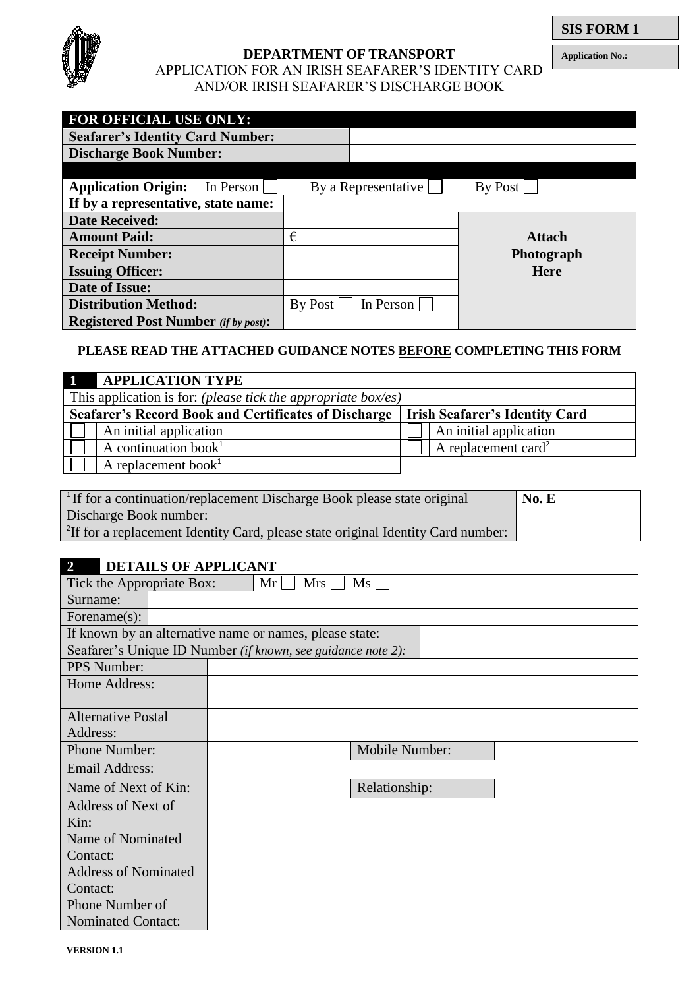

### **DEPARTMENT OF TRANSPORT**

**Application No.:**

## APPLICATION FOR AN IRISH SEAFARER'S IDENTITY CARD AND/OR IRISH SEAFARER'S DISCHARGE BOOK

| <b>FOR OFFICIAL USE ONLY:</b>               |         |                     |               |
|---------------------------------------------|---------|---------------------|---------------|
| <b>Seafarer's Identity Card Number:</b>     |         |                     |               |
| <b>Discharge Book Number:</b>               |         |                     |               |
|                                             |         |                     |               |
| <b>Application Origin:</b><br>In Person     |         | By a Representative | By Post       |
| If by a representative, state name:         |         |                     |               |
| <b>Date Received:</b>                       |         |                     |               |
| <b>Amount Paid:</b>                         | €       |                     | <b>Attach</b> |
| <b>Receipt Number:</b>                      |         |                     | Photograph    |
| <b>Issuing Officer:</b>                     |         |                     | <b>Here</b>   |
| Date of Issue:                              |         |                     |               |
| <b>Distribution Method:</b>                 | By Post | In Person           |               |
| <b>Registered Post Number</b> (if by post): |         |                     |               |

## **PLEASE READ THE ATTACHED GUIDANCE NOTES BEFORE COMPLETING THIS FORM**

| <b>APPLICATION TYPE</b>                                       |  |                                       |  |  |
|---------------------------------------------------------------|--|---------------------------------------|--|--|
| This application is for: (please tick the appropriate box/es) |  |                                       |  |  |
| <b>Seafarer's Record Book and Certificates of Discharge</b>   |  | <b>Irish Seafarer's Identity Card</b> |  |  |
| An initial application                                        |  | An initial application                |  |  |
| A continuation book $1$                                       |  | A replacement card <sup>2</sup>       |  |  |
| A replacement book $1$                                        |  |                                       |  |  |

| <sup>1</sup> If for a continuation/replacement Discharge Book please state original          | No. E |
|----------------------------------------------------------------------------------------------|-------|
| Discharge Book number:                                                                       |       |
| <sup>2</sup> If for a replacement Identity Card, please state original Identity Card number: |       |

| <b>DETAILS OF APPLICANT</b><br>$\overline{2}$                |  |  |    |     |                |  |  |
|--------------------------------------------------------------|--|--|----|-----|----------------|--|--|
| Tick the Appropriate Box:                                    |  |  | Mr | Mrs | Ms             |  |  |
| Surname:                                                     |  |  |    |     |                |  |  |
| Forename $(s)$ :                                             |  |  |    |     |                |  |  |
| If known by an alternative name or names, please state:      |  |  |    |     |                |  |  |
| Seafarer's Unique ID Number (if known, see guidance note 2): |  |  |    |     |                |  |  |
| <b>PPS</b> Number:                                           |  |  |    |     |                |  |  |
| Home Address:                                                |  |  |    |     |                |  |  |
|                                                              |  |  |    |     |                |  |  |
| <b>Alternative Postal</b>                                    |  |  |    |     |                |  |  |
| Address:                                                     |  |  |    |     |                |  |  |
| <b>Phone Number:</b>                                         |  |  |    |     | Mobile Number: |  |  |
| <b>Email Address:</b>                                        |  |  |    |     |                |  |  |
| Name of Next of Kin:                                         |  |  |    |     | Relationship:  |  |  |
| Address of Next of                                           |  |  |    |     |                |  |  |
| Kin:                                                         |  |  |    |     |                |  |  |
| Name of Nominated                                            |  |  |    |     |                |  |  |
| Contact:                                                     |  |  |    |     |                |  |  |
| <b>Address of Nominated</b>                                  |  |  |    |     |                |  |  |
| Contact:                                                     |  |  |    |     |                |  |  |
| Phone Number of                                              |  |  |    |     |                |  |  |
| <b>Nominated Contact:</b>                                    |  |  |    |     |                |  |  |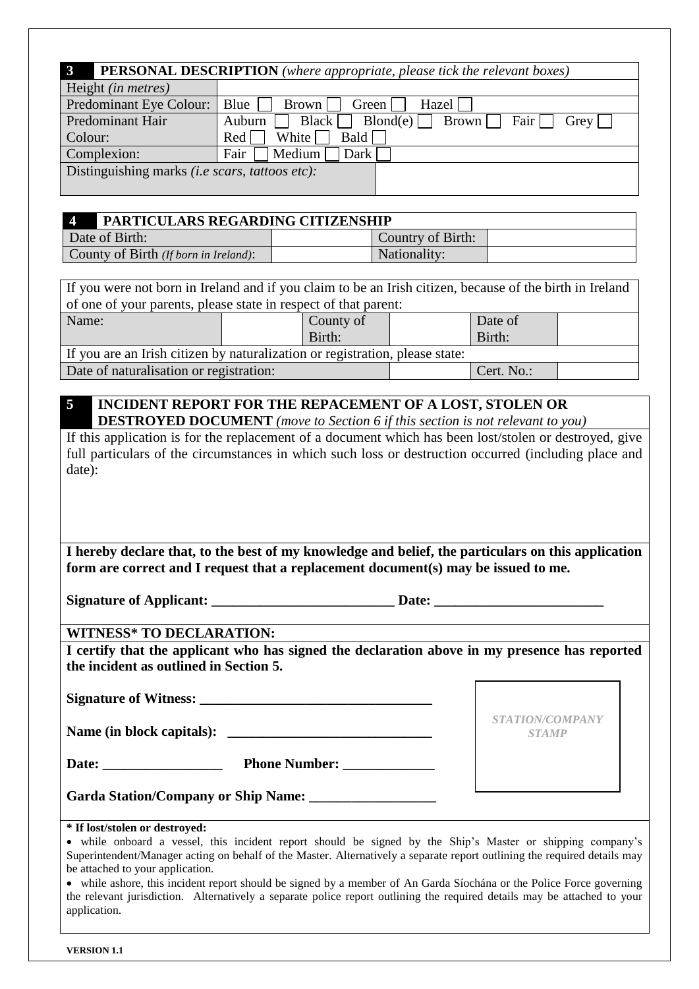| <b>PERSONAL DESCRIPTION</b> (where appropriate, please tick the relevant boxes) |                                                                                          |  |  |  |
|---------------------------------------------------------------------------------|------------------------------------------------------------------------------------------|--|--|--|
| Height <i>(in metres)</i>                                                       |                                                                                          |  |  |  |
| Predominant Eye Colour:                                                         | Blue<br>Brown  <br>Hazel  <br>Green                                                      |  |  |  |
| Predominant Hair                                                                | Blond(e)<br><b>Black</b><br>$Fair \mid \cdot$<br>Auburn<br>Brown    <br>Grey $  \cdot  $ |  |  |  |
| Colour:                                                                         | Bald<br>White  <br>Red                                                                   |  |  |  |
| Complexion:                                                                     | Medium<br>Fair<br>Dark                                                                   |  |  |  |
| Distinguishing marks (i.e scars, tattoos etc):                                  |                                                                                          |  |  |  |
|                                                                                 |                                                                                          |  |  |  |

| $\Delta$<br><b>PARTICULARS REGARDING CITIZENSHIP</b> |                   |  |
|------------------------------------------------------|-------------------|--|
| Date of Birth:                                       | Country of Birth: |  |
| County of Birth (If born in Ireland):                | Nationality:      |  |

If you were not born in Ireland and if you claim to be an Irish citizen, because of the birth in Ireland of one of your parents, please state in respect of that parent: Name:  $\vert$  County of Birth: Date of Birth: If you are an Irish citizen by naturalization or registration, please state: Date of naturalisation or registration:  $\vert$  Cert. No.:

**5 INCIDENT REPORT FOR THE REPACEMENT OF A LOST, STOLEN OR DESTROYED DOCUMENT** *(move to Section 6 if this section is not relevant to you)*

If this application is for the replacement of a document which has been lost/stolen or destroyed, give full particulars of the circumstances in which such loss or destruction occurred (including place and date):

**I hereby declare that, to the best of my knowledge and belief, the particulars on this application form are correct and I request that a replacement document(s) may be issued to me.** 

**Signature of Applicant: \_\_\_\_\_\_\_\_\_\_\_\_\_\_\_\_\_\_\_\_\_\_\_\_\_\_ Date: \_\_\_\_\_\_\_\_\_\_\_\_\_\_\_\_\_\_\_\_\_\_\_\_**

# **WITNESS\* TO DECLARATION:**

**I certify that the applicant who has signed the declaration above in my presence has reported the incident as outlined in Section 5.** 

**Signature of Witness: \_\_\_\_\_\_\_\_\_\_\_\_\_\_\_\_\_\_\_\_\_\_\_\_\_\_\_\_\_\_\_\_\_**

**Name (in block capitals): \_\_\_\_\_\_\_\_\_\_\_\_\_\_\_\_\_\_\_\_\_\_\_\_\_\_\_\_\_**

**Date: \_\_\_\_\_\_\_\_\_\_\_\_\_\_\_\_\_ Phone Number: \_\_\_\_\_\_\_\_\_\_\_\_\_**

| <i>STATION/COMPANY</i> |
|------------------------|
| <b>STAMP</b>           |
|                        |

**Garda Station/Company or Ship Name: \_\_\_\_\_\_\_\_\_\_\_\_\_\_\_\_\_\_** 

## **\* If lost/stolen or destroyed:**

 while onboard a vessel, this incident report should be signed by the Ship's Master or shipping company's Superintendent/Manager acting on behalf of the Master. Alternatively a separate report outlining the required details may be attached to your application.

• while ashore, this incident report should be signed by a member of An Garda Síochána or the Police Force governing the relevant jurisdiction. Alternatively a separate police report outlining the required details may be attached to your application.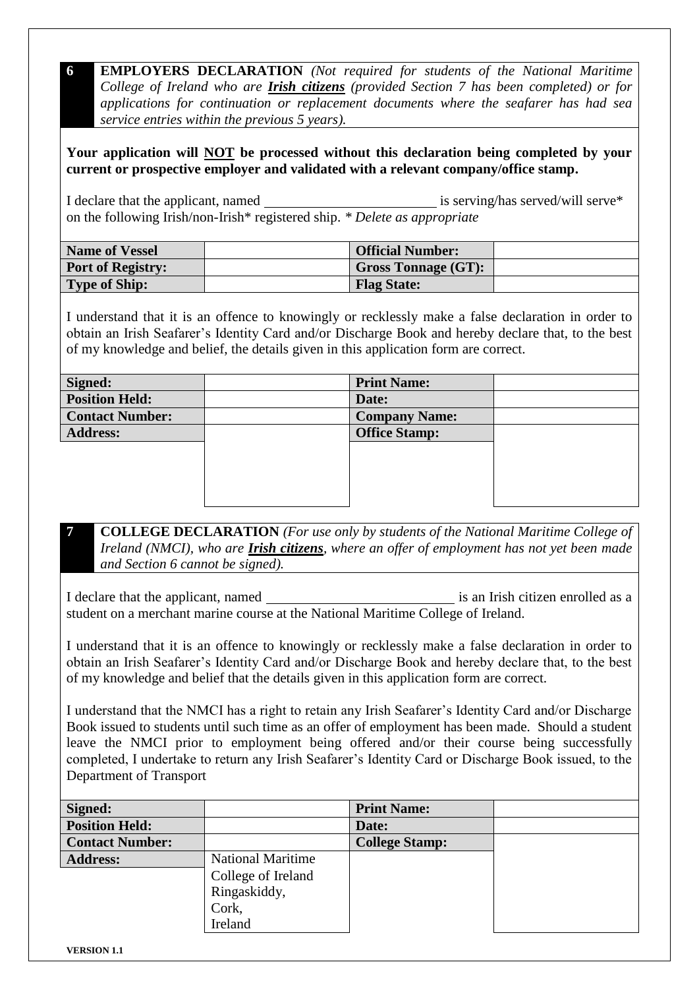**6 EMPLOYERS DECLARATION** *(Not required for students of the National Maritime College of Ireland who are Irish citizens (provided Section 7 has been completed) or for applications for continuation or replacement documents where the seafarer has had sea service entries within the previous 5 years).*

**Your application will NOT be processed without this declaration being completed by your current or prospective employer and validated with a relevant company/office stamp.** 

I declare that the applicant, named is serving/has served/will serve \* on the following Irish/non-Irish\* registered ship. *\* Delete as appropriate*

| <b>Name of Vessel</b>    | <b>Official Number:</b>    |  |
|--------------------------|----------------------------|--|
| <b>Port of Registry:</b> | <b>Gross Tonnage (GT):</b> |  |
| <b>Type of Ship:</b>     | <b>Flag State:</b>         |  |

I understand that it is an offence to knowingly or recklessly make a false declaration in order to obtain an Irish Seafarer's Identity Card and/or Discharge Book and hereby declare that, to the best of my knowledge and belief, the details given in this application form are correct.

| Signed:                | <b>Print Name:</b>   |  |
|------------------------|----------------------|--|
| <b>Position Held:</b>  | Date:                |  |
| <b>Contact Number:</b> | <b>Company Name:</b> |  |
| <b>Address:</b>        | <b>Office Stamp:</b> |  |
|                        |                      |  |
|                        |                      |  |
|                        |                      |  |
|                        |                      |  |

**7 COLLEGE DECLARATION** *(For use only by students of the National Maritime College of Ireland (NMCI), who are Irish citizens, where an offer of employment has not yet been made and Section 6 cannot be signed).* 

I declare that the applicant, named is an Irish citizen enrolled as a student on a merchant marine course at the National Maritime College of Ireland.

I understand that it is an offence to knowingly or recklessly make a false declaration in order to obtain an Irish Seafarer's Identity Card and/or Discharge Book and hereby declare that, to the best of my knowledge and belief that the details given in this application form are correct.

I understand that the NMCI has a right to retain any Irish Seafarer's Identity Card and/or Discharge Book issued to students until such time as an offer of employment has been made. Should a student leave the NMCI prior to employment being offered and/or their course being successfully completed, I undertake to return any Irish Seafarer's Identity Card or Discharge Book issued, to the Department of Transport

| Signed:                |                          | <b>Print Name:</b>    |  |
|------------------------|--------------------------|-----------------------|--|
| <b>Position Held:</b>  |                          | Date:                 |  |
| <b>Contact Number:</b> |                          | <b>College Stamp:</b> |  |
| <b>Address:</b>        | <b>National Maritime</b> |                       |  |
|                        | College of Ireland       |                       |  |
|                        | Ringaskiddy,             |                       |  |
|                        | Cork,                    |                       |  |
|                        | Ireland                  |                       |  |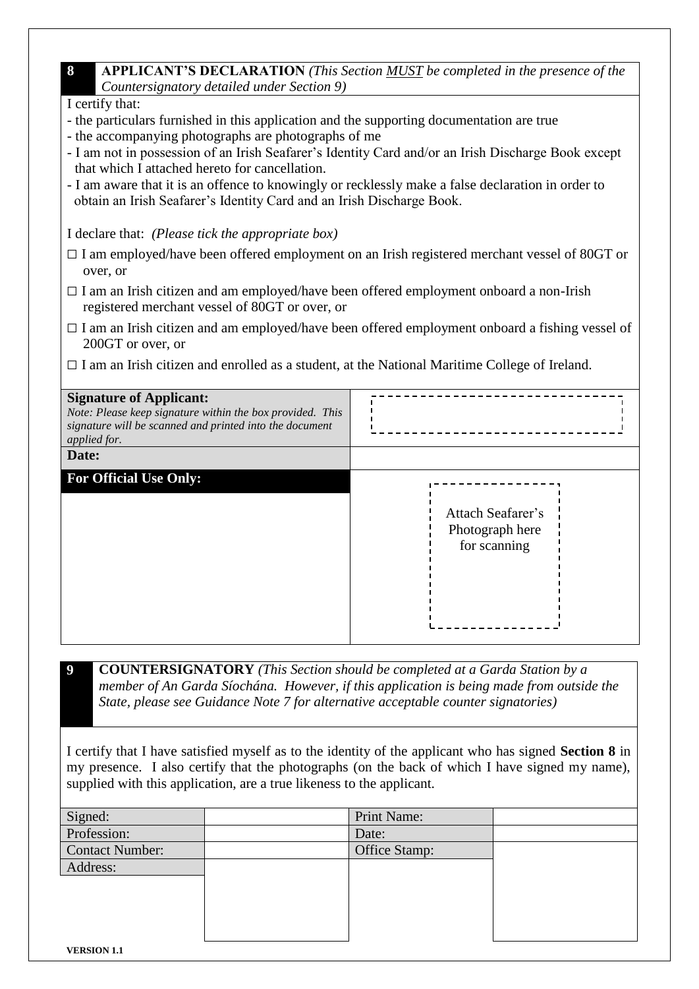## **8 APPLICANT'S DECLARATION** *(This Section MUST be completed in the presence of the Countersignatory detailed under Section 9)*

| I certify that: |  |
|-----------------|--|

- the particulars furnished in this application and the supporting documentation are true
- the accompanying photographs are photographs of me
- I am not in possession of an Irish Seafarer's Identity Card and/or an Irish Discharge Book except that which I attached hereto for cancellation.
- I am aware that it is an offence to knowingly or recklessly make a false declaration in order to obtain an Irish Seafarer's Identity Card and an Irish Discharge Book.

I declare that: *(Please tick the appropriate box)*

- $\Box$  I am employed/have been offered employment on an Irish registered merchant vessel of 80GT or over, or
- $\Box$  I am an Irish citizen and am employed/have been offered employment onboard a non-Irish registered merchant vessel of 80GT or over, or
- $\Box$  I am an Irish citizen and am employed/have been offered employment onboard a fishing vessel of 200GT or over, or
- $\Box$  I am an Irish citizen and enrolled as a student, at the National Maritime College of Ireland.

| <b>Signature of Applicant:</b><br>Note: Please keep signature within the box provided. This<br>signature will be scanned and printed into the document<br>applied for.<br>Date: |                                                      |
|---------------------------------------------------------------------------------------------------------------------------------------------------------------------------------|------------------------------------------------------|
| <b>For Official Use Only:</b>                                                                                                                                                   |                                                      |
|                                                                                                                                                                                 | Attach Seafarer's<br>Photograph here<br>for scanning |

**9 COUNTERSIGNATORY** *(This Section should be completed at a Garda Station by a member of An Garda Síochána. However, if this application is being made from outside the State, please see Guidance Note 7 for alternative acceptable counter signatories)*

I certify that I have satisfied myself as to the identity of the applicant who has signed **Section 8** in my presence. I also certify that the photographs (on the back of which I have signed my name), supplied with this application, are a true likeness to the applicant.

| Signed:         | Print Name:   |  |
|-----------------|---------------|--|
| Profession:     | Date:         |  |
| Contact Number: | Office Stamp: |  |
| Address:        |               |  |
|                 |               |  |
|                 |               |  |
|                 |               |  |
|                 |               |  |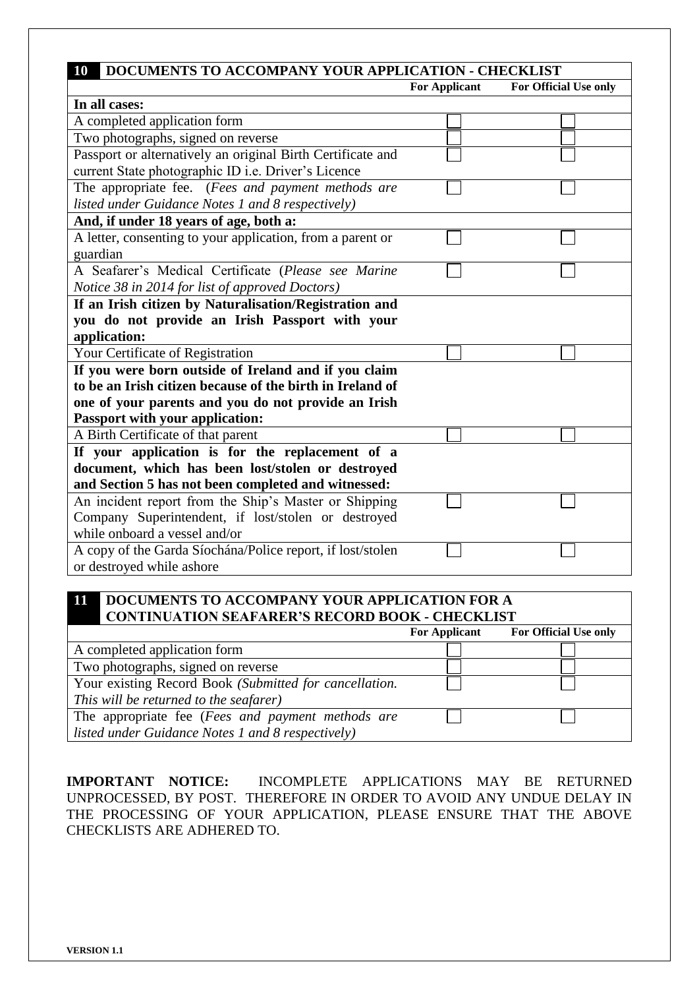| DOCUMENTS TO ACCOMPANY YOUR APPLICATION - CHECKLIST<br><b>10</b> |                      |                       |  |  |
|------------------------------------------------------------------|----------------------|-----------------------|--|--|
|                                                                  | <b>For Applicant</b> | For Official Use only |  |  |
| In all cases:                                                    |                      |                       |  |  |
| A completed application form                                     |                      |                       |  |  |
| Two photographs, signed on reverse                               |                      |                       |  |  |
| Passport or alternatively an original Birth Certificate and      |                      |                       |  |  |
| current State photographic ID i.e. Driver's Licence              |                      |                       |  |  |
| The appropriate fee. (Fees and payment methods are               |                      |                       |  |  |
| listed under Guidance Notes 1 and 8 respectively)                |                      |                       |  |  |
| And, if under 18 years of age, both a:                           |                      |                       |  |  |
| A letter, consenting to your application, from a parent or       |                      |                       |  |  |
| guardian                                                         |                      |                       |  |  |
| A Seafarer's Medical Certificate (Please see Marine              |                      |                       |  |  |
| Notice 38 in 2014 for list of approved Doctors)                  |                      |                       |  |  |
| If an Irish citizen by Naturalisation/Registration and           |                      |                       |  |  |
| you do not provide an Irish Passport with your                   |                      |                       |  |  |
| application:                                                     |                      |                       |  |  |
| Your Certificate of Registration                                 |                      |                       |  |  |
| If you were born outside of Ireland and if you claim             |                      |                       |  |  |
| to be an Irish citizen because of the birth in Ireland of        |                      |                       |  |  |
| one of your parents and you do not provide an Irish              |                      |                       |  |  |
| <b>Passport with your application:</b>                           |                      |                       |  |  |
| A Birth Certificate of that parent                               |                      |                       |  |  |
| If your application is for the replacement of a                  |                      |                       |  |  |
| document, which has been lost/stolen or destroyed                |                      |                       |  |  |
| and Section 5 has not been completed and witnessed:              |                      |                       |  |  |
| An incident report from the Ship's Master or Shipping            |                      |                       |  |  |
| Company Superintendent, if lost/stolen or destroyed              |                      |                       |  |  |
| while onboard a vessel and/or                                    |                      |                       |  |  |
| A copy of the Garda Síochána/Police report, if lost/stolen       |                      |                       |  |  |
| or destroyed while ashore                                        |                      |                       |  |  |

## **11 DOCUMENTS TO ACCOMPANY YOUR APPLICATION FOR A CONTINUATION SEAFARER'S RECORD BOOK - CHECKLIST**

|                                                        | <b>For Applicant</b> | For Official Use only |
|--------------------------------------------------------|----------------------|-----------------------|
| A completed application form                           |                      |                       |
| Two photographs, signed on reverse                     |                      |                       |
| Your existing Record Book (Submitted for cancellation. |                      |                       |
| This will be returned to the seafarer)                 |                      |                       |
| The appropriate fee (Fees and payment methods are      |                      |                       |
| listed under Guidance Notes 1 and 8 respectively)      |                      |                       |

**IMPORTANT NOTICE:** INCOMPLETE APPLICATIONS MAY BE RETURNED UNPROCESSED, BY POST. THEREFORE IN ORDER TO AVOID ANY UNDUE DELAY IN THE PROCESSING OF YOUR APPLICATION, PLEASE ENSURE THAT THE ABOVE CHECKLISTS ARE ADHERED TO.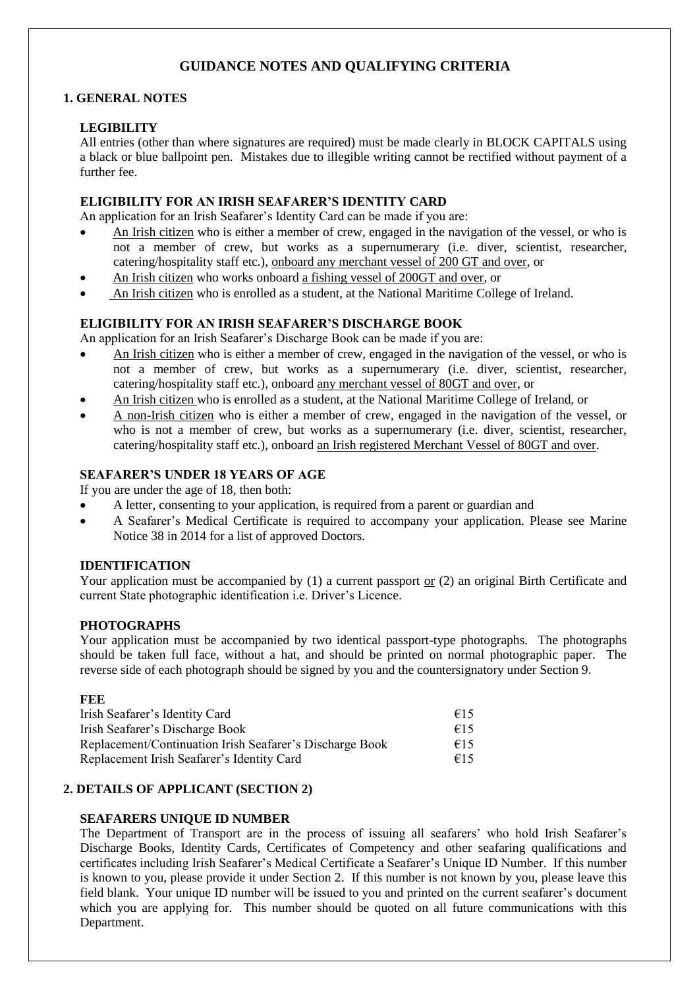## **GUIDANCE NOTES AND QUALIFYING CRITERIA**

## **1. GENERAL NOTES**

## **LEGIBILITY**

All entries (other than where signatures are required) must be made clearly in BLOCK CAPITALS using a black or blue ballpoint pen. Mistakes due to illegible writing cannot be rectified without payment of a further fee.

### **ELIGIBILITY FOR AN IRISH SEAFARER'S IDENTITY CARD**

An application for an Irish Seafarer's Identity Card can be made if you are:

- An Irish citizen who is either a member of crew, engaged in the navigation of the vessel, or who is not a member of crew, but works as a supernumerary (i.e. diver, scientist, researcher, catering/hospitality staff etc.), onboard any merchant vessel of 200 GT and over, or
- An Irish citizen who works onboard a fishing vessel of 200GT and over, or
- An Irish citizen who is enrolled as a student, at the National Maritime College of Ireland.

### **ELIGIBILITY FOR AN IRISH SEAFARER'S DISCHARGE BOOK**

An application for an Irish Seafarer's Discharge Book can be made if you are:

- An Irish citizen who is either a member of crew, engaged in the navigation of the vessel, or who is not a member of crew, but works as a supernumerary (i.e. diver, scientist, researcher, catering/hospitality staff etc.), onboard any merchant vessel of 80GT and over, or
- An Irish citizen who is enrolled as a student, at the National Maritime College of Ireland, or
- A non-Irish citizen who is either a member of crew, engaged in the navigation of the vessel, or who is not a member of crew, but works as a supernumerary (i.e. diver, scientist, researcher, catering/hospitality staff etc.), onboard an Irish registered Merchant Vessel of 80GT and over.

#### **SEAFARER'S UNDER 18 YEARS OF AGE**

If you are under the age of 18, then both:

- A letter, consenting to your application, is required from a parent or guardian and
- A Seafarer's Medical Certificate is required to accompany your application. Please see Marine Notice 38 in 2014 for a list of approved Doctors.

#### **IDENTIFICATION**

Your application must be accompanied by  $(1)$  a current passport or  $(2)$  an original Birth Certificate and current State photographic identification i.e. Driver's Licence.

#### **PHOTOGRAPHS**

Your application must be accompanied by two identical passport-type photographs. The photographs should be taken full face, without a hat, and should be printed on normal photographic paper. The reverse side of each photograph should be signed by you and the countersignatory under Section 9.

| FEE                                                      |     |
|----------------------------------------------------------|-----|
| Irish Seafarer's Identity Card                           | €15 |
| Irish Seafarer's Discharge Book                          | €15 |
| Replacement/Continuation Irish Seafarer's Discharge Book |     |
| Replacement Irish Seafarer's Identity Card               | €15 |

## **2. DETAILS OF APPLICANT (SECTION 2)**

#### **SEAFARERS UNIQUE ID NUMBER**

The Department of Transport are in the process of issuing all seafarers' who hold Irish Seafarer's Discharge Books, Identity Cards, Certificates of Competency and other seafaring qualifications and certificates including Irish Seafarer's Medical Certificate a Seafarer's Unique ID Number. If this number is known to you, please provide it under Section 2. If this number is not known by you, please leave this field blank. Your unique ID number will be issued to you and printed on the current seafarer's document which you are applying for. This number should be quoted on all future communications with this Department.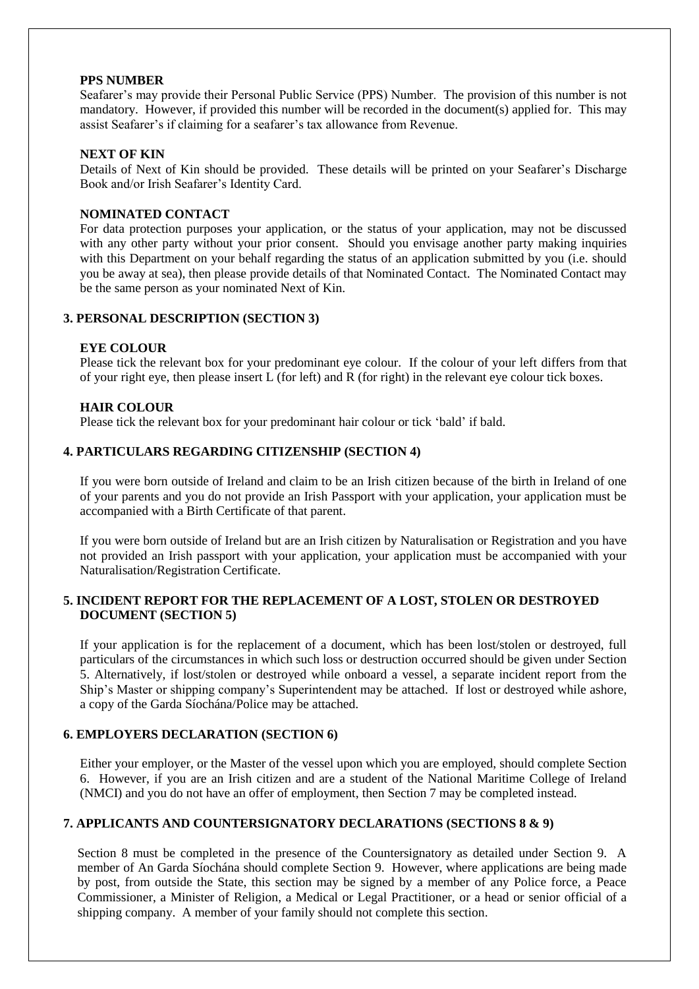#### **PPS NUMBER**

Seafarer's may provide their Personal Public Service (PPS) Number. The provision of this number is not mandatory. However, if provided this number will be recorded in the document(s) applied for. This may assist Seafarer's if claiming for a seafarer's tax allowance from Revenue.

#### **NEXT OF KIN**

Details of Next of Kin should be provided. These details will be printed on your Seafarer's Discharge Book and/or Irish Seafarer's Identity Card.

#### **NOMINATED CONTACT**

For data protection purposes your application, or the status of your application, may not be discussed with any other party without your prior consent. Should you envisage another party making inquiries with this Department on your behalf regarding the status of an application submitted by you (i.e. should you be away at sea), then please provide details of that Nominated Contact. The Nominated Contact may be the same person as your nominated Next of Kin.

## **3. PERSONAL DESCRIPTION (SECTION 3)**

#### **EYE COLOUR**

Please tick the relevant box for your predominant eye colour. If the colour of your left differs from that of your right eye, then please insert L (for left) and R (for right) in the relevant eye colour tick boxes.

#### **HAIR COLOUR**

Please tick the relevant box for your predominant hair colour or tick 'bald' if bald.

#### **4. PARTICULARS REGARDING CITIZENSHIP (SECTION 4)**

If you were born outside of Ireland and claim to be an Irish citizen because of the birth in Ireland of one of your parents and you do not provide an Irish Passport with your application, your application must be accompanied with a Birth Certificate of that parent.

If you were born outside of Ireland but are an Irish citizen by Naturalisation or Registration and you have not provided an Irish passport with your application, your application must be accompanied with your Naturalisation/Registration Certificate.

#### **5. INCIDENT REPORT FOR THE REPLACEMENT OF A LOST, STOLEN OR DESTROYED DOCUMENT (SECTION 5)**

If your application is for the replacement of a document, which has been lost/stolen or destroyed, full particulars of the circumstances in which such loss or destruction occurred should be given under Section 5. Alternatively, if lost/stolen or destroyed while onboard a vessel, a separate incident report from the Ship's Master or shipping company's Superintendent may be attached. If lost or destroyed while ashore, a copy of the Garda Síochána/Police may be attached.

#### **6. EMPLOYERS DECLARATION (SECTION 6)**

Either your employer, or the Master of the vessel upon which you are employed, should complete Section 6. However, if you are an Irish citizen and are a student of the National Maritime College of Ireland (NMCI) and you do not have an offer of employment, then Section 7 may be completed instead.

#### **7. APPLICANTS AND COUNTERSIGNATORY DECLARATIONS (SECTIONS 8 & 9)**

Section 8 must be completed in the presence of the Countersignatory as detailed under Section 9. A member of An Garda Síochána should complete Section 9. However, where applications are being made by post, from outside the State, this section may be signed by a member of any Police force, a Peace Commissioner, a Minister of Religion, a Medical or Legal Practitioner, or a head or senior official of a shipping company. A member of your family should not complete this section.